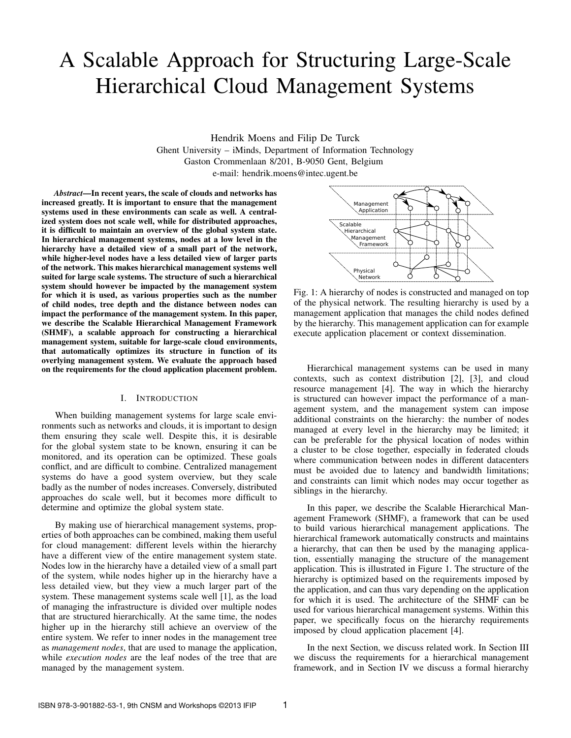# A Scalable Approach for Structuring Large-Scale Hierarchical Cloud Management Systems

Hendrik Moens and Filip De Turck Ghent University – iMinds, Department of Information Technology Gaston Crommenlaan 8/201, B-9050 Gent, Belgium e-mail: hendrik.moens@intec.ugent.be

*Abstract*—In recent years, the scale of clouds and networks has increased greatly. It is important to ensure that the management systems used in these environments can scale as well. A centralized system does not scale well, while for distributed approaches, it is difficult to maintain an overview of the global system state. In hierarchical management systems, nodes at a low level in the hierarchy have a detailed view of a small part of the network, while higher-level nodes have a less detailed view of larger parts of the network. This makes hierarchical management systems well suited for large scale systems. The structure of such a hierarchical system should however be impacted by the management system for which it is used, as various properties such as the number of child nodes, tree depth and the distance between nodes can impact the performance of the management system. In this paper, we describe the Scalable Hierarchical Management Framework (SHMF), a scalable approach for constructing a hierarchical management system, suitable for large-scale cloud environments, that automatically optimizes its structure in function of its overlying management system. We evaluate the approach based on the requirements for the cloud application placement problem.

# I. INTRODUCTION

When building management systems for large scale environments such as networks and clouds, it is important to design them ensuring they scale well. Despite this, it is desirable for the global system state to be known, ensuring it can be monitored, and its operation can be optimized. These goals conflict, and are difficult to combine. Centralized management systems do have a good system overview, but they scale badly as the number of nodes increases. Conversely, distributed approaches do scale well, but it becomes more difficult to determine and optimize the global system state.

By making use of hierarchical management systems, properties of both approaches can be combined, making them useful for cloud management: different levels within the hierarchy have a different view of the entire management system state. Nodes low in the hierarchy have a detailed view of a small part of the system, while nodes higher up in the hierarchy have a less detailed view, but they view a much larger part of the system. These management systems scale well [1], as the load of managing the infrastructure is divided over multiple nodes that are structured hierarchically. At the same time, the nodes higher up in the hierarchy still achieve an overview of the entire system. We refer to inner nodes in the management tree as *management nodes*, that are used to manage the application, while *execution nodes* are the leaf nodes of the tree that are managed by the management system.



Fig. 1: A hierarchy of nodes is constructed and managed on top of the physical network. The resulting hierarchy is used by a management application that manages the child nodes defined by the hierarchy. This management application can for example execute application placement or context dissemination.

Hierarchical management systems can be used in many contexts, such as context distribution [2], [3], and cloud resource management [4]. The way in which the hierarchy is structured can however impact the performance of a management system, and the management system can impose additional constraints on the hierarchy: the number of nodes managed at every level in the hierarchy may be limited; it can be preferable for the physical location of nodes within a cluster to be close together, especially in federated clouds where communication between nodes in different datacenters must be avoided due to latency and bandwidth limitations; and constraints can limit which nodes may occur together as siblings in the hierarchy.

In this paper, we describe the Scalable Hierarchical Management Framework (SHMF), a framework that can be used to build various hierarchical management applications. The hierarchical framework automatically constructs and maintains a hierarchy, that can then be used by the managing application, essentially managing the structure of the management application. This is illustrated in Figure 1. The structure of the hierarchy is optimized based on the requirements imposed by the application, and can thus vary depending on the application for which it is used. The architecture of the SHMF can be used for various hierarchical management systems. Within this paper, we specifically focus on the hierarchy requirements imposed by cloud application placement [4].

In the next Section, we discuss related work. In Section III we discuss the requirements for a hierarchical management framework, and in Section IV we discuss a formal hierarchy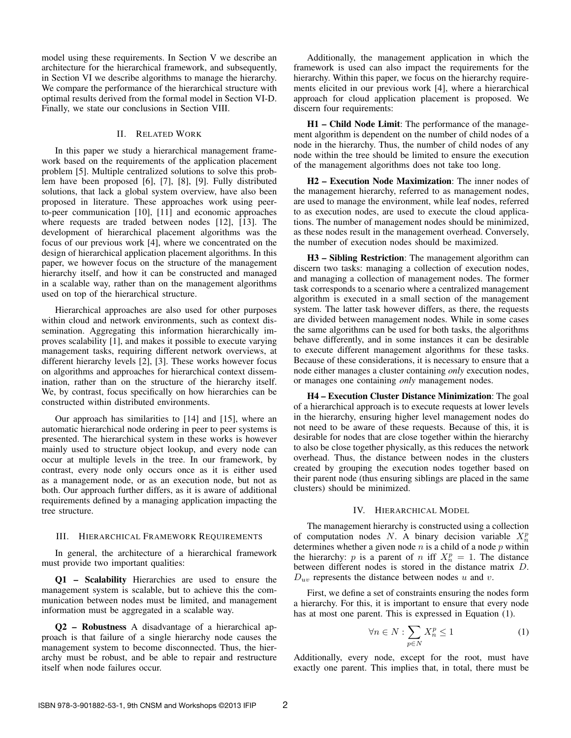model using these requirements. In Section V we describe an architecture for the hierarchical framework, and subsequently, in Section VI we describe algorithms to manage the hierarchy. We compare the performance of the hierarchical structure with optimal results derived from the formal model in Section VI-D. Finally, we state our conclusions in Section VIII.

# II. RELATED WORK

In this paper we study a hierarchical management framework based on the requirements of the application placement problem [5]. Multiple centralized solutions to solve this problem have been proposed [6], [7], [8], [9]. Fully distributed solutions, that lack a global system overview, have also been proposed in literature. These approaches work using peerto-peer communication [10], [11] and economic approaches where requests are traded between nodes [12], [13]. The development of hierarchical placement algorithms was the focus of our previous work [4], where we concentrated on the design of hierarchical application placement algorithms. In this paper, we however focus on the structure of the management hierarchy itself, and how it can be constructed and managed in a scalable way, rather than on the management algorithms used on top of the hierarchical structure.

Hierarchical approaches are also used for other purposes within cloud and network environments, such as context dissemination. Aggregating this information hierarchically improves scalability [1], and makes it possible to execute varying management tasks, requiring different network overviews, at different hierarchy levels [2], [3]. These works however focus on algorithms and approaches for hierarchical context dissemination, rather than on the structure of the hierarchy itself. We, by contrast, focus specifically on how hierarchies can be constructed within distributed environments.

Our approach has similarities to [14] and [15], where an automatic hierarchical node ordering in peer to peer systems is presented. The hierarchical system in these works is however mainly used to structure object lookup, and every node can occur at multiple levels in the tree. In our framework, by contrast, every node only occurs once as it is either used as a management node, or as an execution node, but not as both. Our approach further differs, as it is aware of additional requirements defined by a managing application impacting the tree structure.

## III. HIERARCHICAL FRAMEWORK REQUIREMENTS

In general, the architecture of a hierarchical framework must provide two important qualities:

Q1 – Scalability Hierarchies are used to ensure the management system is scalable, but to achieve this the communication between nodes must be limited, and management information must be aggregated in a scalable way.

Q2 – Robustness A disadvantage of a hierarchical approach is that failure of a single hierarchy node causes the management system to become disconnected. Thus, the hierarchy must be robust, and be able to repair and restructure itself when node failures occur.

Additionally, the management application in which the framework is used can also impact the requirements for the hierarchy. Within this paper, we focus on the hierarchy requirements elicited in our previous work [4], where a hierarchical approach for cloud application placement is proposed. We discern four requirements:

H1 – Child Node Limit: The performance of the management algorithm is dependent on the number of child nodes of a node in the hierarchy. Thus, the number of child nodes of any node within the tree should be limited to ensure the execution of the management algorithms does not take too long.

H2 – Execution Node Maximization: The inner nodes of the management hierarchy, referred to as management nodes, are used to manage the environment, while leaf nodes, referred to as execution nodes, are used to execute the cloud applications. The number of management nodes should be minimized, as these nodes result in the management overhead. Conversely, the number of execution nodes should be maximized.

H3 – Sibling Restriction: The management algorithm can discern two tasks: managing a collection of execution nodes, and managing a collection of management nodes. The former task corresponds to a scenario where a centralized management algorithm is executed in a small section of the management system. The latter task however differs, as there, the requests are divided between management nodes. While in some cases the same algorithms can be used for both tasks, the algorithms behave differently, and in some instances it can be desirable to execute different management algorithms for these tasks. Because of these considerations, it is necessary to ensure that a node either manages a cluster containing *only* execution nodes, or manages one containing *only* management nodes.

H4 – Execution Cluster Distance Minimization: The goal of a hierarchical approach is to execute requests at lower levels in the hierarchy, ensuring higher level management nodes do not need to be aware of these requests. Because of this, it is desirable for nodes that are close together within the hierarchy to also be close together physically, as this reduces the network overhead. Thus, the distance between nodes in the clusters created by grouping the execution nodes together based on their parent node (thus ensuring siblings are placed in the same clusters) should be minimized.

## IV. HIERARCHICAL MODEL

The management hierarchy is constructed using a collection of computation nodes N. A binary decision variable  $X_n^p$ determines whether a given node  $n$  is a child of a node  $p$  within the hierarchy: p is a parent of n iff  $X_n^p = 1$ . The distance between different nodes is stored in the distance matrix D.  $D_{uv}$  represents the distance between nodes u and v.

First, we define a set of constraints ensuring the nodes form a hierarchy. For this, it is important to ensure that every node has at most one parent. This is expressed in Equation (1).

$$
\forall n \in N : \sum_{p \in N} X_n^p \le 1 \tag{1}
$$

Additionally, every node, except for the root, must have exactly one parent. This implies that, in total, there must be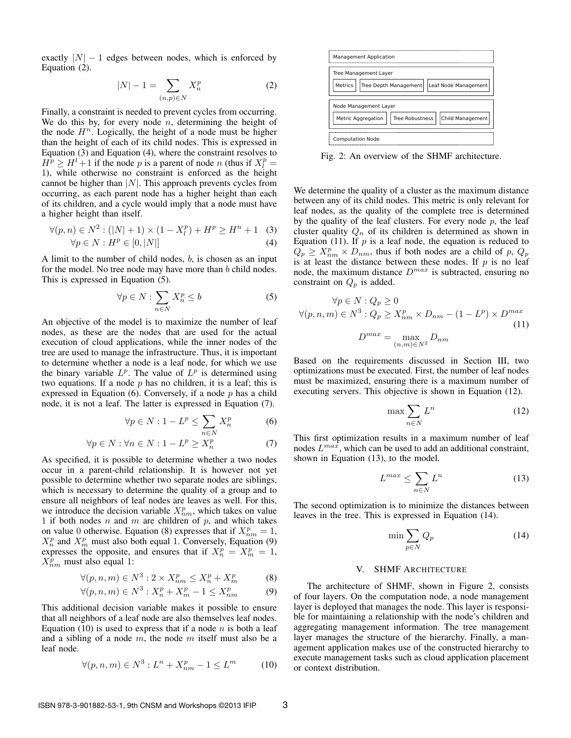exactly  $|N| - 1$  edges between nodes, which is enforced by Equation (2).

$$
|N| - 1 = \sum_{(n,p)\in N} X_n^p
$$
 (2)

Finally, a constraint is needed to prevent cycles from occurring. We do this by, for every node  $n$ , determining the height of the node  $H<sup>n</sup>$ . Logically, the height of a node must be higher than the height of each of its child nodes. This is expressed in Equation (3) and Equation (4), where the constraint resolves to  $H^p \geq H^l + 1$  if the node p is a parent of node n (thus if  $X_l^p =$ 1), while otherwise no constraint is enforced as the height cannot be higher than  $|N|$ . This approach prevents cycles from occurring, as each parent node has a higher height than each of its children, and a cycle would imply that a node must have a higher height than itself.

$$
\forall (p, n) \in N^2 : (|N| + 1) \times (1 - X_l^p) + H^p \ge H^n + 1 \quad (3)
$$
  

$$
\forall p \in N : H^p \in [0, |N|] \tag{4}
$$

A limit to the number of child nodes,  $b$ , is chosen as an input for the model. No tree node may have more than b child nodes. This is expressed in Equation (5).

$$
\forall p \in N : \sum_{n \in N} X_n^p \le b \tag{5}
$$

An objective of the model is to maximize the number of leaf nodes, as these are the nodes that are used for the actual execution of cloud applications, while the inner nodes of the tree are used to manage the infrastructure. Thus, it is important to determine whether a node is a leaf node, for which we use the binary variable  $L^p$ . The value of  $L^p$  is determined using two equations. If a node  $p$  has no children, it is a leaf; this is expressed in Equation (6). Conversely, if a node  $p$  has a child node, it is not a leaf. The latter is expressed in Equation (7).

$$
\forall p \in N : 1 - L^p \le \sum_{n \in N} X_n^p \tag{6}
$$

$$
\forall p \in N : \forall n \in N : 1 - L^p \ge X_n^p \tag{7}
$$

As specified, it is possible to determine whether a two nodes occur in a parent-child relationship. It is however not yet possible to determine whether two separate nodes are siblings, which is necessary to determine the quality of a group and to ensure all neighbors of leaf nodes are leaves as well. For this, we introduce the decision variable  $X_{nm}^p$ , which takes on value 1 if both nodes  $n$  and  $m$  are children of  $p$ , and which takes on value 0 otherwise. Equation (8) expresses that if  $X_{nm}^p = 1$ ,  $X_n^p$  and  $X_m^p$  must also both equal 1. Conversely, Equation (9) expresses the opposite, and ensures that if  $X_n^p = X_m^p = 1$ ,  $X_{nm}^p$  must also equal 1:

$$
\forall (p, n, m) \in N^3 : 2 \times X_{nm}^p \le X_n^p + X_m^p \tag{8}
$$

$$
\forall (p, n, m) \in N^3 : X_n^p + X_m^p - 1 \le X_{nm}^p \tag{9}
$$

This additional decision variable makes it possible to ensure that all neighbors of a leaf node are also themselves leaf nodes. Equation (10) is used to express that if a node  $n$  is both a leaf and a sibling of a node  $m$ , the node  $m$  itself must also be a leaf node.

$$
\forall (p, n, m) \in N^3 : L^n + X_{nm}^p - 1 \le L^m \tag{10}
$$



Fig. 2: An overview of the SHMF architecture.

m occurring.<br>
In the height of<br>
Interts. Agreement Layer management Layer<br>
is the higher<br>
sube higher<br>
sube height of<br>
It computation Note<br>
It is computation Note.<br>
It is a let the substitute of the context any of its chi We determine the quality of a cluster as the maximum distance between any of its child nodes. This metric is only relevant for leaf nodes, as the quality of the complete tree is determined by the quality of the leaf clusters. For every node  $p$ , the leaf cluster quality  $Q_n$  of its children is determined as shown in Equation (11). If  $p$  is a leaf node, the equation is reduced to  $Q_p \geq X_{nm}^p \times D_{nm}$ , thus if both nodes are a child of p,  $Q_p$ is at least the distance between these nodes. If  $p$  is no leaf node, the maximum distance  $D^{max}$  is subtracted, ensuring no constraint on  $Q_p$  is added.

$$
\forall p \in N : Q_p \ge 0
$$
  

$$
\forall (p, n, m) \in N^3 : Q_p \ge X_{nm}^p \times D_{nm} - (1 - L^p) \times D^{max}
$$
  

$$
D^{max} = \max_{(n,m) \in N^2} D_{nm}
$$
 (11)

Based on the requirements discussed in Section III, two optimizations must be executed. First, the number of leaf nodes must be maximized, ensuring there is a maximum number of executing servers. This objective is shown in Equation (12).

$$
\max \sum_{n \in N} L^n \tag{12}
$$

This first optimization results in a maximum number of leaf nodes  $L^{max}$ , which can be used to add an additional constraint, shown in Equation (13), to the model.

$$
L^{max} \le \sum_{n \in N} L^n \tag{13}
$$

The second optimization is to minimize the distances between leaves in the tree. This is expressed in Equation (14).

$$
\min \sum_{p \in N} Q_p \tag{14}
$$

## V. SHMF ARCHITECTURE

The architecture of SHMF, shown in Figure 2, consists of four layers. On the computation node, a node management layer is deployed that manages the node. This layer is responsible for maintaining a relationship with the node's children and aggregating management information. The tree management layer manages the structure of the hierarchy. Finally, a management application makes use of the constructed hierarchy to execute management tasks such as cloud application placement or context distribution.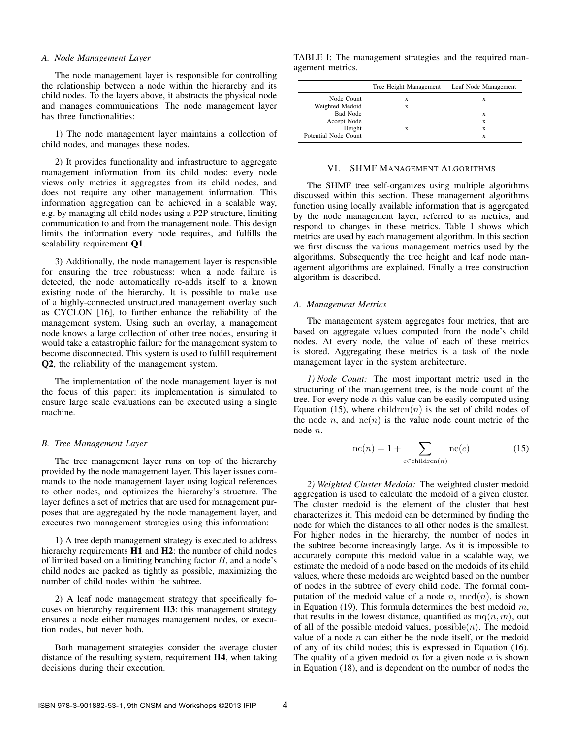### *A. Node Management Layer*

The node management layer is responsible for controlling the relationship between a node within the hierarchy and its child nodes. To the layers above, it abstracts the physical node and manages communications. The node management layer has three functionalities:

1) The node management layer maintains a collection of child nodes, and manages these nodes.

2) It provides functionality and infrastructure to aggregate management information from its child nodes: every node views only metrics it aggregates from its child nodes, and does not require any other management information. This information aggregation can be achieved in a scalable way, e.g. by managing all child nodes using a P2P structure, limiting communication to and from the management node. This design limits the information every node requires, and fulfills the scalability requirement Q1.

3) Additionally, the node management layer is responsible for ensuring the tree robustness: when a node failure is detected, the node automatically re-adds itself to a known existing node of the hierarchy. It is possible to make use of a highly-connected unstructured management overlay such as CYCLON [16], to further enhance the reliability of the management system. Using such an overlay, a management node knows a large collection of other tree nodes, ensuring it would take a catastrophic failure for the management system to become disconnected. This system is used to fulfill requirement Q2, the reliability of the management system.

The implementation of the node management layer is not the focus of this paper: its implementation is simulated to ensure large scale evaluations can be executed using a single machine.

#### *B. Tree Management Layer*

The tree management layer runs on top of the hierarchy provided by the node management layer. This layer issues commands to the node management layer using logical references to other nodes, and optimizes the hierarchy's structure. The layer defines a set of metrics that are used for management purposes that are aggregated by the node management layer, and executes two management strategies using this information:

1) A tree depth management strategy is executed to address hierarchy requirements **H1** and **H2**: the number of child nodes of limited based on a limiting branching factor B, and a node's child nodes are packed as tightly as possible, maximizing the number of child nodes within the subtree.

2) A leaf node management strategy that specifically focuses on hierarchy requirement H3: this management strategy ensures a node either manages management nodes, or execution nodes, but never both.

Both management strategies consider the average cluster distance of the resulting system, requirement H4, when taking decisions during their execution.

TABLE I: The management strategies and the required management metrics.

|                      | Tree Height Management | Leaf Node Management |
|----------------------|------------------------|----------------------|
| Node Count           | X                      | х                    |
| Weighted Medoid      | X                      |                      |
| <b>Bad Node</b>      |                        | х                    |
| Accept Node          |                        | х                    |
| Height               | X                      | X                    |
| Potential Node Count |                        | X                    |

## VI. SHMF MANAGEMENT ALGORITHMS

The SHMF tree self-organizes using multiple algorithms discussed within this section. These management algorithms function using locally available information that is aggregated by the node management layer, referred to as metrics, and respond to changes in these metrics. Table I shows which metrics are used by each management algorithm. In this section we first discuss the various management metrics used by the algorithms. Subsequently the tree height and leaf node management algorithms are explained. Finally a tree construction algorithm is described.

#### *A. Management Metrics*

The management system aggregates four metrics, that are based on aggregate values computed from the node's child nodes. At every node, the value of each of these metrics is stored. Aggregating these metrics is a task of the node management layer in the system architecture.

*1) Node Count:* The most important metric used in the structuring of the management tree, is the node count of the tree. For every node  $n$  this value can be easily computed using Equation (15), where children $(n)$  is the set of child nodes of the node  $n$ , and  $nc(n)$  is the value node count metric of the node n.

$$
nc(n) = 1 + \sum_{c \in children(n)} nc(c)
$$
 (15)

*2) Weighted Cluster Medoid:* The weighted cluster medoid aggregation is used to calculate the medoid of a given cluster. The cluster medoid is the element of the cluster that best characterizes it. This medoid can be determined by finding the node for which the distances to all other nodes is the smallest. For higher nodes in the hierarchy, the number of nodes in the subtree become increasingly large. As it is impossible to accurately compute this medoid value in a scalable way, we estimate the medoid of a node based on the medoids of its child values, where these medoids are weighted based on the number of nodes in the subtree of every child node. The formal computation of the medoid value of a node  $n$ , med $(n)$ , is shown in Equation (19). This formula determines the best medoid  $m$ , that results in the lowest distance, quantified as  $mq(n, m)$ , out of all of the possible medoid values,  $possible(n)$ . The medoid value of a node  $n$  can either be the node itself, or the medoid of any of its child nodes; this is expressed in Equation (16). The quality of a given medoid  $m$  for a given node  $n$  is shown in Equation (18), and is dependent on the number of nodes the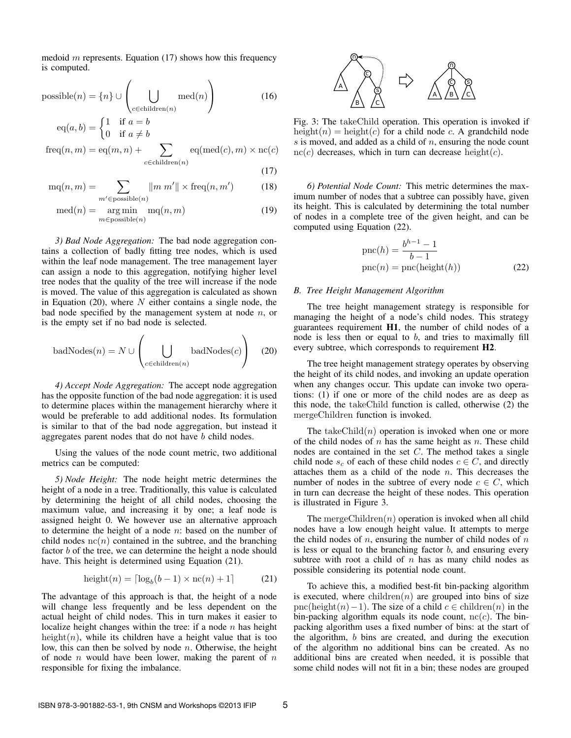medoid m represents. Equation  $(17)$  shows how this frequency is computed.

possible(n) = {n} 
$$
\cup
$$
  $\left(\bigcup_{c \in children(n)} med(n)\right)$  (16)

$$
eq(a, b) = \begin{cases} 1 & \text{if } a = b \\ 0 & \text{if } a \neq b \end{cases}
$$
  
freq $(n, m) = eq(m, n) + \sum_{c \in children(n)} eq(med(c), m) \times nc(c)$ 

(17)

$$
mq(n,m) = \sum_{m' \in \text{possible}(n)} ||m \ m'|| \times \text{freq}(n, m')
$$
 (18)

$$
med(n) = \underset{m \in \text{possible}(n)}{\text{arg min}} mq(n, m)
$$
\n(19)

*3) Bad Node Aggregation:* The bad node aggregation contains a collection of badly fitting tree nodes, which is used within the leaf node management. The tree management layer can assign a node to this aggregation, notifying higher level tree nodes that the quality of the tree will increase if the node is moved. The value of this aggregation is calculated as shown in Equation (20), where  $N$  either contains a single node, the bad node specified by the management system at node  $n$ , or is the empty set if no bad node is selected.

badNodes(*n*) = 
$$
N \cup \left(\bigcup_{c \in children(n)} badNodes(c)\right)
$$
 (20)

*4) Accept Node Aggregation:* The accept node aggregation has the opposite function of the bad node aggregation: it is used to determine places within the management hierarchy where it would be preferable to add additional nodes. Its formulation is similar to that of the bad node aggregation, but instead it aggregates parent nodes that do not have b child nodes.

Using the values of the node count metric, two additional metrics can be computed:

*5) Node Height:* The node height metric determines the height of a node in a tree. Traditionally, this value is calculated by determining the height of all child nodes, choosing the maximum value, and increasing it by one; a leaf node is assigned height 0. We however use an alternative approach to determine the height of a node  $n$ : based on the number of child nodes  $nc(n)$  contained in the subtree, and the branching factor  $b$  of the tree, we can determine the height a node should have. This height is determined using Equation (21).

$$
height(n) = \lceil \log_b(b-1) \times nc(n) + 1 \rceil \tag{21}
$$

The advantage of this approach is that, the height of a node will change less frequently and be less dependent on the actual height of child nodes. This in turn makes it easier to localize height changes within the tree: if a node  $n$  has height height $(n)$ , while its children have a height value that is too low, this can then be solved by node  $n$ . Otherwise, the height of node  $n$  would have been lower, making the parent of  $n$ responsible for fixing the imbalance.



Fig. 3: The takeChild operation. This operation is invoked if height(n) = height(c) for a child node c. A grandchild node  $s$  is moved, and added as a child of  $n$ , ensuring the node count  $nc(c)$  decreases, which in turn can decrease height(c).

*6) Potential Node Count:* This metric determines the maximum number of nodes that a subtree can possibly have, given its height. This is calculated by determining the total number of nodes in a complete tree of the given height, and can be computed using Equation (22).

$$
pnc(h) = \frac{b^{h-1} - 1}{b - 1}
$$
  
 
$$
pnc(n) = pnc(height(h))
$$
 (22)

# *B. Tree Height Management Algorithm*

The tree height management strategy is responsible for managing the height of a node's child nodes. This strategy guarantees requirement H1, the number of child nodes of a node is less then or equal to  $b$ , and tries to maximally fill every subtree, which corresponds to requirement H2.

The tree height management strategy operates by observing the height of its child nodes, and invoking an update operation when any changes occur. This update can invoke two operations: (1) if one or more of the child nodes are as deep as this node, the takeChild function is called, otherwise (2) the mergeChildren function is invoked.

The takeChild $(n)$  operation is invoked when one or more of the child nodes of  $n$  has the same height as  $n$ . These child nodes are contained in the set C. The method takes a single child node  $s_c$  of each of these child nodes  $c \in C$ , and directly attaches them as a child of the node  $n$ . This decreases the number of nodes in the subtree of every node  $c \in C$ , which in turn can decrease the height of these nodes. This operation is illustrated in Figure 3.

The mergeChildren $(n)$  operation is invoked when all child nodes have a low enough height value. It attempts to merge the child nodes of  $n$ , ensuring the number of child nodes of  $n$ is less or equal to the branching factor  $b$ , and ensuring every subtree with root a child of  $n$  has as many child nodes as possible considering its potential node count.

To achieve this, a modified best-fit bin-packing algorithm is executed, where  $children(n)$  are grouped into bins of size pnc(height(n)−1). The size of a child  $c \in$  children(n) in the bin-packing algorithm equals its node count,  $nc(c)$ . The binpacking algorithm uses a fixed number of bins: at the start of the algorithm, b bins are created, and during the execution of the algorithm no additional bins can be created. As no additional bins are created when needed, it is possible that some child nodes will not fit in a bin; these nodes are grouped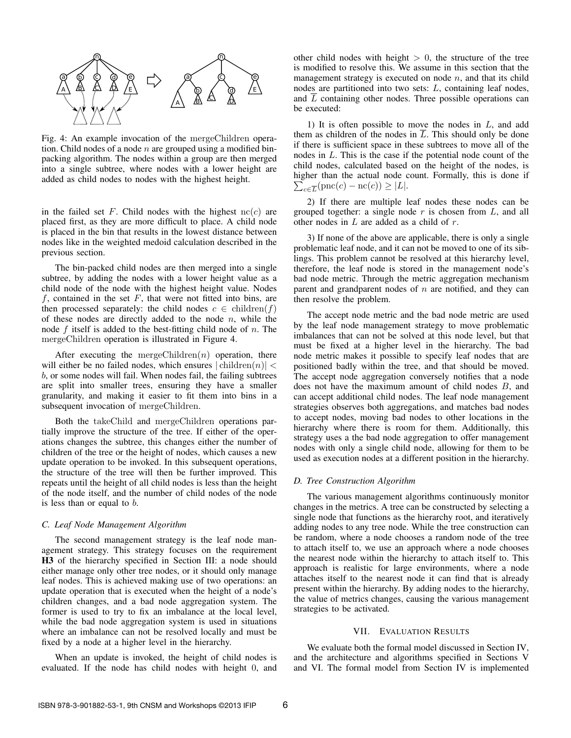

Fig. 4: An example invocation of the mergeChildren operation. Child nodes of a node  $n$  are grouped using a modified binpacking algorithm. The nodes within a group are then merged into a single subtree, where nodes with a lower height are added as child nodes to nodes with the highest height.

in the failed set F. Child nodes with the highest  $nc(c)$  are placed first, as they are more difficult to place. A child node is placed in the bin that results in the lowest distance between nodes like in the weighted medoid calculation described in the previous section.

The bin-packed child nodes are then merged into a single subtree, by adding the nodes with a lower height value as a child node of the node with the highest height value. Nodes  $f$ , contained in the set  $F$ , that were not fitted into bins, are then processed separately: the child nodes  $c \in \text{children}(f)$ of these nodes are directly added to the node  $n$ , while the node f itself is added to the best-fitting child node of  $n$ . The mergeChildren operation is illustrated in Figure 4.

After executing the mergeChildren $(n)$  operation, there will either be no failed nodes, which ensures  $|\text{children}(n)| <$ b, or some nodes will fail. When nodes fail, the failing subtrees are split into smaller trees, ensuring they have a smaller granularity, and making it easier to fit them into bins in a subsequent invocation of mergeChildren.

Both the takeChild and mergeChildren operations partially improve the structure of the tree. If either of the operations changes the subtree, this changes either the number of children of the tree or the height of nodes, which causes a new update operation to be invoked. In this subsequent operations, the structure of the tree will then be further improved. This repeats until the height of all child nodes is less than the height of the node itself, and the number of child nodes of the node is less than or equal to b.

# *C. Leaf Node Management Algorithm*

The second management strategy is the leaf node management strategy. This strategy focuses on the requirement H3 of the hierarchy specified in Section III: a node should either manage only other tree nodes, or it should only manage leaf nodes. This is achieved making use of two operations: an update operation that is executed when the height of a node's children changes, and a bad node aggregation system. The former is used to try to fix an imbalance at the local level, while the bad node aggregation system is used in situations where an imbalance can not be resolved locally and must be fixed by a node at a higher level in the hierarchy.

When an update is invoked, the height of child nodes is evaluated. If the node has child nodes with height 0, and other child nodes with height  $> 0$ , the structure of the tree is modified to resolve this. We assume in this section that the management strategy is executed on node  $n$ , and that its child nodes are partitioned into two sets: L, containing leaf nodes, and  $\overline{L}$  containing other nodes. Three possible operations can be executed:

1) It is often possible to move the nodes in L, and add them as children of the nodes in  $\overline{L}$ . This should only be done if there is sufficient space in these subtrees to move all of the nodes in L. This is the case if the potential node count of the child nodes, calculated based on the height of the nodes, is higher than the actual node count. Formally, this is done if  $\sum_{c \in \overline{L}} (\text{pnc}(c) - \text{nc}(c)) \ge |L|.$ 

2) If there are multiple leaf nodes these nodes can be grouped together: a single node  $r$  is chosen from  $L$ , and all other nodes in  $L$  are added as a child of  $r$ .

3) If none of the above are applicable, there is only a single problematic leaf node, and it can not be moved to one of its siblings. This problem cannot be resolved at this hierarchy level, therefore, the leaf node is stored in the management node's bad node metric. Through the metric aggregation mechanism parent and grandparent nodes of  $n$  are notified, and they can then resolve the problem.

The accept node metric and the bad node metric are used by the leaf node management strategy to move problematic imbalances that can not be solved at this node level, but that must be fixed at a higher level in the hierarchy. The bad node metric makes it possible to specify leaf nodes that are positioned badly within the tree, and that should be moved. The accept node aggregation conversely notifies that a node does not have the maximum amount of child nodes B, and can accept additional child nodes. The leaf node management strategies observes both aggregations, and matches bad nodes to accept nodes, moving bad nodes to other locations in the hierarchy where there is room for them. Additionally, this strategy uses a the bad node aggregation to offer management nodes with only a single child node, allowing for them to be used as execution nodes at a different position in the hierarchy.

# *D. Tree Construction Algorithm*

The various management algorithms continuously monitor changes in the metrics. A tree can be constructed by selecting a single node that functions as the hierarchy root, and iteratively adding nodes to any tree node. While the tree construction can be random, where a node chooses a random node of the tree to attach itself to, we use an approach where a node chooses the nearest node within the hierarchy to attach itself to. This approach is realistic for large environments, where a node attaches itself to the nearest node it can find that is already present within the hierarchy. By adding nodes to the hierarchy, the value of metrics changes, causing the various management strategies to be activated.

# VII. EVALUATION RESULTS

We evaluate both the formal model discussed in Section IV, and the architecture and algorithms specified in Sections V and VI. The formal model from Section IV is implemented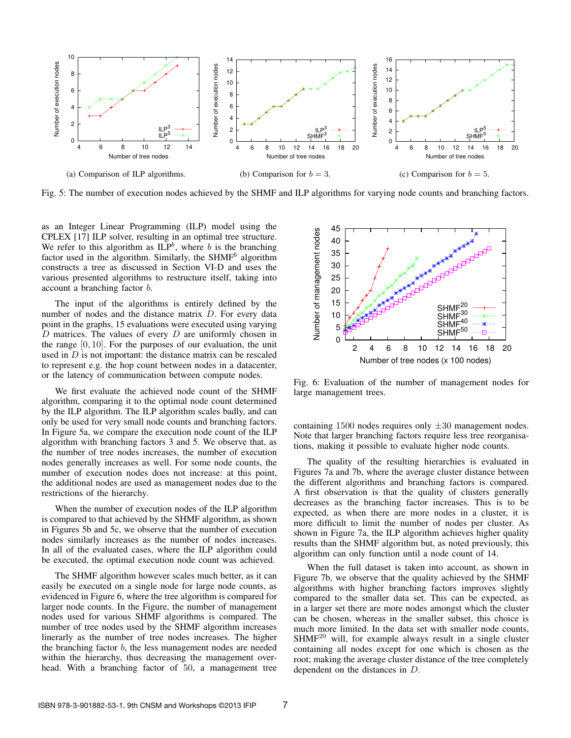

Fig. 5: The number of execution nodes achieved by the SHMF and ILP algorithms for varying node counts and branching factors.

as an Integer Linear Programming (ILP) model using the CPLEX [17] ILP solver, resulting in an optimal tree structure. We refer to this algorithm as  $ILP<sup>b</sup>$ , where b is the branching factor used in the algorithm. Similarly, the SHMF<sup>b</sup> algorithm constructs a tree as discussed in Section VI-D and uses the various presented algorithms to restructure itself, taking into account a branching factor b.

The input of the algorithms is entirely defined by the number of nodes and the distance matrix D. For every data point in the graphs, 15 evaluations were executed using varying  $D$  matrices. The values of every  $D$  are uniformly chosen in the range  $[0, 10]$ . For the purposes of our evaluation, the unit used in  $D$  is not important: the distance matrix can be rescaled to represent e.g. the hop count between nodes in a datacenter, or the latency of communication between compute nodes.

We first evaluate the achieved node count of the SHMF algorithm, comparing it to the optimal node count determined by the ILP algorithm. The ILP algorithm scales badly, and can only be used for very small node counts and branching factors. In Figure 5a, we compare the execution node count of the ILP algorithm with branching factors 3 and 5. We observe that, as the number of tree nodes increases, the number of execution nodes generally increases as well. For some node counts, the number of execution nodes does not increase: at this point, the additional nodes are used as management nodes due to the restrictions of the hierarchy.

When the number of execution nodes of the ILP algorithm is compared to that achieved by the SHMF algorithm, as shown in Figures 5b and 5c, we observe that the number of execution nodes similarly increases as the number of nodes increases. In all of the evaluated cases, where the ILP algorithm could be executed, the optimal execution node count was achieved.

The SHMF algorithm however scales much better, as it can easily be executed on a single node for large node counts, as evidenced in Figure 6, where the tree algorithm is compared for larger node counts. In the Figure, the number of management nodes used for various SHMF algorithms is compared. The number of tree nodes used by the SHMF algorithm increases linerarly as the number of tree nodes increases. The higher the branching factor b, the less management nodes are needed within the hierarchy, thus decreasing the management overhead. With a branching factor of 50, a management tree



Fig. 6: Evaluation of the number of management nodes for large management trees.

containing 1500 nodes requires only  $\pm 30$  management nodes. Note that larger branching factors require less tree reorganisations, making it possible to evaluate higher node counts.

The quality of the resulting hierarchies is evaluated in Figures 7a and 7b, where the average cluster distance between the different algorithms and branching factors is compared. A first observation is that the quality of clusters generally decreases as the branching factor increases. This is to be expected, as when there are more nodes in a cluster, it is more difficult to limit the number of nodes per cluster. As shown in Figure 7a, the ILP algorithm achieves higher quality results than the SHMF algorithm but, as noted previously, this algorithm can only function until a node count of 14.

When the full dataset is taken into account, as shown in Figure 7b, we observe that the quality achieved by the SHMF algorithms with higher branching factors improves slightly compared to the smaller data set. This can be expected, as in a larger set there are more nodes amongst which the cluster can be chosen, whereas in the smaller subset, this choice is much more limited. In the data set with smaller node counts, SHMF<sup>20</sup> will, for example always result in a single cluster containing all nodes except for one which is chosen as the root; making the average cluster distance of the tree completely dependent on the distances in D.